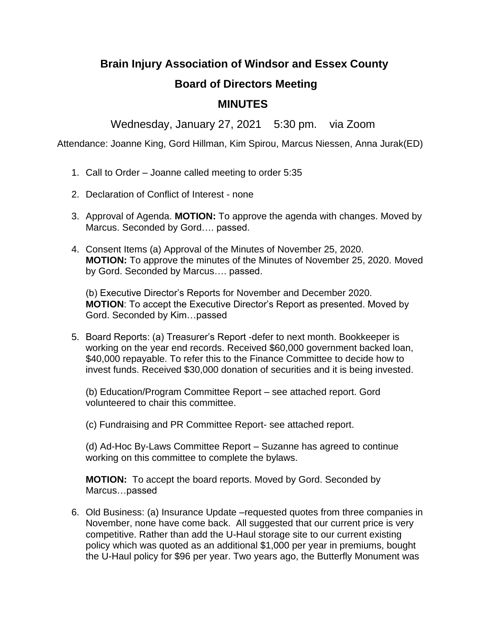## **Brain Injury Association of Windsor and Essex County**

## **Board of Directors Meeting**

## **MINUTES**

Wednesday, January 27, 2021 5:30 pm. via Zoom

Attendance: Joanne King, Gord Hillman, Kim Spirou, Marcus Niessen, Anna Jurak(ED)

- 1. Call to Order Joanne called meeting to order 5:35
- 2. Declaration of Conflict of Interest none
- 3. Approval of Agenda. **MOTION:** To approve the agenda with changes. Moved by Marcus. Seconded by Gord…. passed.
- 4. Consent Items (a) Approval of the Minutes of November 25, 2020. **MOTION:** To approve the minutes of the Minutes of November 25, 2020. Moved by Gord. Seconded by Marcus…. passed.

(b) Executive Director's Reports for November and December 2020. **MOTION**: To accept the Executive Director's Report as presented. Moved by Gord. Seconded by Kim…passed

5. Board Reports: (a) Treasurer's Report -defer to next month. Bookkeeper is working on the year end records. Received \$60,000 government backed loan, \$40,000 repayable. To refer this to the Finance Committee to decide how to invest funds. Received \$30,000 donation of securities and it is being invested.

(b) Education/Program Committee Report – see attached report. Gord volunteered to chair this committee.

(c) Fundraising and PR Committee Report- see attached report.

(d) Ad-Hoc By-Laws Committee Report – Suzanne has agreed to continue working on this committee to complete the bylaws.

**MOTION:** To accept the board reports. Moved by Gord. Seconded by Marcus…passed

6. Old Business: (a) Insurance Update –requested quotes from three companies in November, none have come back. All suggested that our current price is very competitive. Rather than add the U-Haul storage site to our current existing policy which was quoted as an additional \$1,000 per year in premiums, bought the U-Haul policy for \$96 per year. Two years ago, the Butterfly Monument was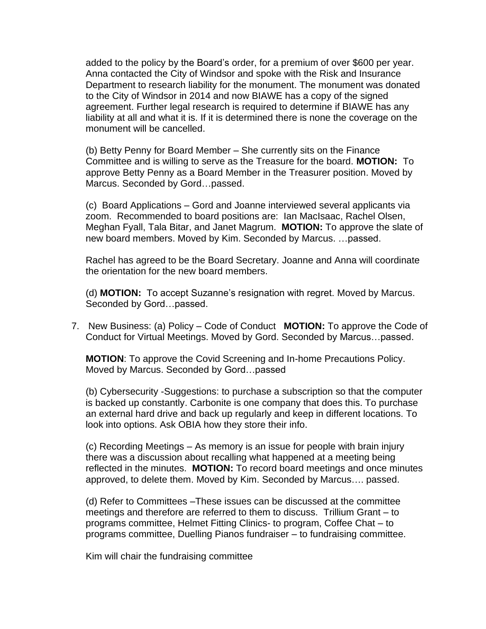added to the policy by the Board's order, for a premium of over \$600 per year. Anna contacted the City of Windsor and spoke with the Risk and Insurance Department to research liability for the monument. The monument was donated to the City of Windsor in 2014 and now BIAWE has a copy of the signed agreement. Further legal research is required to determine if BIAWE has any liability at all and what it is. If it is determined there is none the coverage on the monument will be cancelled.

(b) Betty Penny for Board Member – She currently sits on the Finance Committee and is willing to serve as the Treasure for the board. **MOTION:** To approve Betty Penny as a Board Member in the Treasurer position. Moved by Marcus. Seconded by Gord…passed.

(c) Board Applications – Gord and Joanne interviewed several applicants via zoom. Recommended to board positions are: Ian MacIsaac, Rachel Olsen, Meghan Fyall, Tala Bitar, and Janet Magrum. **MOTION:** To approve the slate of new board members. Moved by Kim. Seconded by Marcus. …passed.

Rachel has agreed to be the Board Secretary. Joanne and Anna will coordinate the orientation for the new board members.

(d) **MOTION:** To accept Suzanne's resignation with regret. Moved by Marcus. Seconded by Gord…passed.

7. New Business: (a) Policy – Code of Conduct **MOTION:** To approve the Code of Conduct for Virtual Meetings. Moved by Gord. Seconded by Marcus…passed.

**MOTION**: To approve the Covid Screening and In-home Precautions Policy. Moved by Marcus. Seconded by Gord…passed

(b) Cybersecurity -Suggestions: to purchase a subscription so that the computer is backed up constantly. Carbonite is one company that does this. To purchase an external hard drive and back up regularly and keep in different locations. To look into options. Ask OBIA how they store their info.

(c) Recording Meetings – As memory is an issue for people with brain injury there was a discussion about recalling what happened at a meeting being reflected in the minutes. **MOTION:** To record board meetings and once minutes approved, to delete them. Moved by Kim. Seconded by Marcus…. passed.

(d) Refer to Committees –These issues can be discussed at the committee meetings and therefore are referred to them to discuss. Trillium Grant – to programs committee, Helmet Fitting Clinics- to program, Coffee Chat – to programs committee, Duelling Pianos fundraiser – to fundraising committee.

Kim will chair the fundraising committee